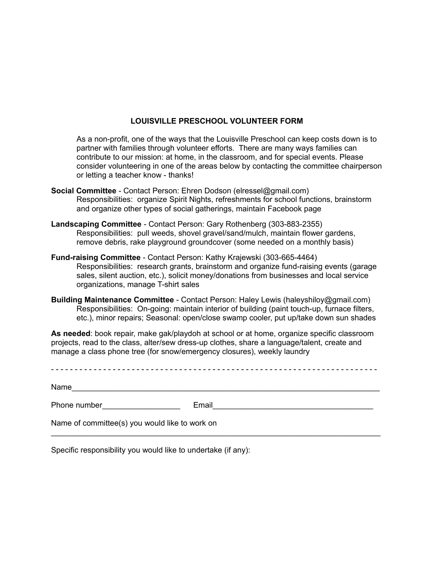## **LOUISVILLE PRESCHOOL VOLUNTEER FORM**

As a non-profit, one of the ways that the Louisville Preschool can keep costs down is to partner with families through volunteer efforts. There are many ways families can contribute to our mission: at home, in the classroom, and for special events. Please consider volunteering in one of the areas below by contacting the committee chairperson or letting a teacher know - thanks!

- **Social Committee** Contact Person: Ehren Dodson (elressel@gmail.com) Responsibilities: organize Spirit Nights, refreshments for school functions, brainstorm and organize other types of social gatherings, maintain Facebook page
- **Landscaping Committee** Contact Person: Gary Rothenberg (303-883-2355) Responsibilities: pull weeds, shovel gravel/sand/mulch, maintain flower gardens, remove debris, rake playground groundcover (some needed on a monthly basis)
- **Fund-raising Committee** Contact Person: Kathy Krajewski (303-665-4464) Responsibilities: research grants, brainstorm and organize fund-raising events (garage sales, silent auction, etc.), solicit money/donations from businesses and local service organizations, manage T-shirt sales
- **Building Maintenance Committee** Contact Person: Haley Lewis (haleyshiloy@gmail.com) Responsibilities: On-going: maintain interior of building (paint touch-up, furnace filters, etc.), minor repairs; Seasonal: open/close swamp cooler, put up/take down sun shades

**As needed**: book repair, make gak/playdoh at school or at home, organize specific classroom projects, read to the class, alter/sew dress-up clothes, share a language/talent, create and manage a class phone tree (for snow/emergency closures), weekly laundry

- - - - - - - - - - - - - - - - - - - - - - - - - - - - - - - - - - - - - - - - - - - - - - - - - - - - - - - - - - - - - - - - - - - - -

Name\_\_\_\_\_\_\_\_\_\_\_\_\_\_\_\_\_\_\_\_\_\_\_\_\_\_\_\_\_\_\_\_\_\_\_\_\_\_\_\_\_\_\_\_\_\_\_\_\_\_\_\_\_\_\_\_\_\_\_\_\_\_\_\_\_\_\_\_\_\_\_

Phone number **Email** Email

\_\_\_\_\_\_\_\_\_\_\_\_\_\_\_\_\_\_\_\_\_\_\_\_\_\_\_\_\_\_\_\_\_\_\_\_\_\_\_\_\_\_\_\_\_\_\_\_\_\_\_\_\_\_\_\_\_\_\_\_\_\_\_\_\_\_\_\_\_\_\_\_\_\_\_\_

Name of committee(s) you would like to work on

Specific responsibility you would like to undertake (if any):